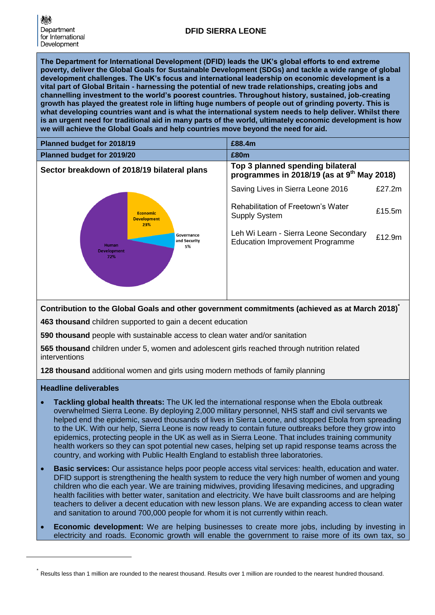**The Department for International Development (DFID) leads the UK's global efforts to end extreme poverty, deliver the Global Goals for Sustainable Development (SDGs) and tackle a wide range of global development challenges. The UK's focus and international leadership on economic development is a vital part of Global Britain - harnessing the potential of new trade relationships, creating jobs and channelling investment to the world's poorest countries. Throughout history, sustained, job-creating growth has played the greatest role in lifting huge numbers of people out of grinding poverty. This is what developing countries want and is what the international system needs to help deliver. Whilst there is an urgent need for traditional aid in many parts of the world, ultimately economic development is how we will achieve the Global Goals and help countries move beyond the need for aid.**

| Planned budget for 2018/19                                                                                             |                                   | £88.4m                                                                                     |        |
|------------------------------------------------------------------------------------------------------------------------|-----------------------------------|--------------------------------------------------------------------------------------------|--------|
| Planned budget for 2019/20                                                                                             |                                   | £80m                                                                                       |        |
| Sector breakdown of 2018/19 bilateral plans                                                                            |                                   | Top 3 planned spending bilateral<br>programmes in 2018/19 (as at 9 <sup>th</sup> May 2018) |        |
| <b>Economic</b><br><b>Development</b><br>23%<br>Governance<br>and Security<br>Human<br>5%<br><b>Development</b><br>72% | Saving Lives in Sierra Leone 2016 | £27.2 $m$                                                                                  |        |
|                                                                                                                        |                                   | Rehabilitation of Freetown's Water<br><b>Supply System</b>                                 | £15.5m |
|                                                                                                                        |                                   | Leh Wi Learn - Sierra Leone Secondary<br><b>Education Improvement Programme</b>            | £12.9m |

**Contribution to the Global Goals and other government commitments (achieved as at March 2018) \***

**463 thousand** children supported to gain a decent education

**590 thousand** people with sustainable access to clean water and/or sanitation

**565 thousand** children under 5, women and adolescent girls reached through nutrition related interventions

**128 thousand** additional women and girls using modern methods of family planning

# **Headline deliverables**

1

- **Tackling global health threats:** The UK led the international response when the Ebola outbreak overwhelmed Sierra Leone. By deploying 2,000 military personnel, NHS staff and civil servants we helped end the epidemic, saved thousands of lives in Sierra Leone, and stopped Ebola from spreading to the UK. With our help, Sierra Leone is now ready to contain future outbreaks before they grow into epidemics, protecting people in the UK as well as in Sierra Leone. That includes training community health workers so they can spot potential new cases, helping set up rapid response teams across the country, and working with Public Health England to establish three laboratories.
- **Basic services:** Our assistance helps poor people access vital services: health, education and water. DFID support is strengthening the health system to reduce the very high number of women and young children who die each year. We are training midwives, providing lifesaving medicines, and upgrading health facilities with better water, sanitation and electricity. We have built classrooms and are helping teachers to deliver a decent education with new lesson plans. We are expanding access to clean water and sanitation to around 700,000 people for whom it is not currently within reach.
- **Economic development:** We are helping businesses to create more jobs, including by investing in electricity and roads. Economic growth will enable the government to raise more of its own tax, so

<sup>\*</sup> Results less than 1 million are rounded to the nearest thousand. Results over 1 million are rounded to the nearest hundred thousand.